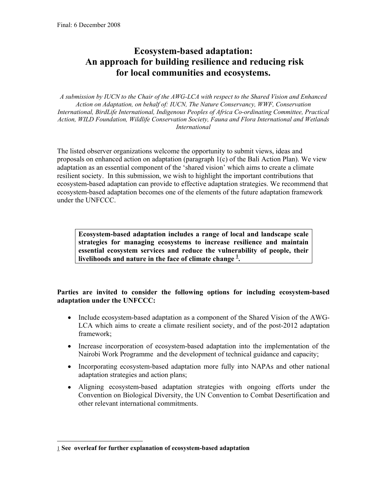## **Ecosystem-based adaptation: An approach for building resilience and reducing risk for local communities and ecosystems.**

*A submission by IUCN to the Chair of the AWG-LCA with respect to the Shared Vision and Enhanced Action on Adaptation, on behalf of: IUCN, The Nature Conservancy, WWF, Conservation International, BirdLife International, Indigenous Peoples of Africa Co-ordinating Committee, Practical Action, WILD Foundation, Wildlife Conservation Society, Fauna and Flora International and Wetlands International*

The listed observer organizations welcome the opportunity to submit views, ideas and proposals on enhanced action on adaptation (paragraph 1(c) of the Bali Action Plan). We view adaptation as an essential component of the 'shared vision' which aims to create a climate resilient society. In this submission, we wish to highlight the important contributions that ecosystem-based adaptation can provide to effective adaptation strategies. We recommend that ecosystem-based adaptation becomes one of the elements of the future adaptation framework under the UNFCCC.

**Ecosystem-based adaptation includes a range of local and landscape scale strategies for managing ecosystems to increase resilience and maintain essential ecosystem services and reduce the vulnerability of people, their livelihoods and nature in the face of climate change <sup>1</sup> .** 

## **Parties are invited to consider the following options for including ecosystem-based adaptation under the UNFCCC:**

- Include ecosystem-based adaptation as a component of the Shared Vision of the AWG-LCA which aims to create a climate resilient society, and of the post-2012 adaptation framework;
- Increase incorporation of ecosystem-based adaptation into the implementation of the Nairobi Work Programme and the development of technical guidance and capacity;
- Incorporating ecosystem-based adaptation more fully into NAPAs and other national adaptation strategies and action plans;
- Aligning ecosystem-based adaptation strategies with ongoing efforts under the Convention on Biological Diversity, the UN Convention to Combat Desertification and other relevant international commitments.

-

<sup>1</sup> **See overleaf for further explanation of ecosystem-based adaptation**